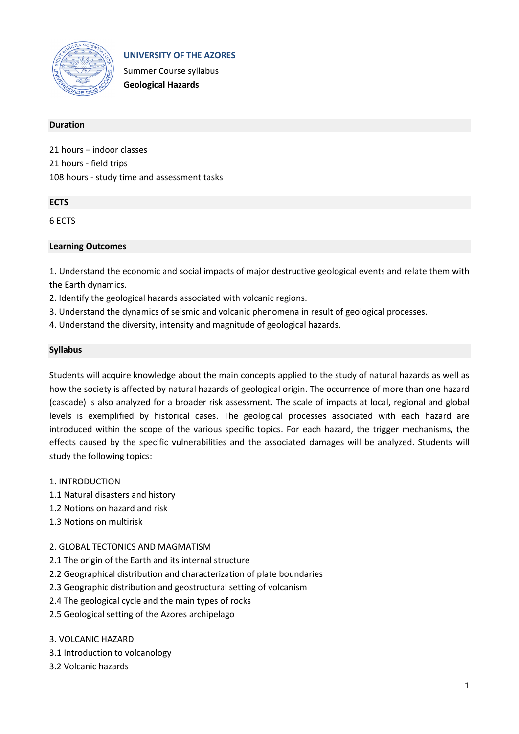

**UNIVERSITY OF THE AZORES**

Summer Course syllabus **Geological Hazards**

## **Duration**

21 hours – indoor classes 21 hours - field trips 108 hours - study time and assessment tasks

# **ECTS**

6 ECTS

## **Learning Outcomes**

1. Understand the economic and social impacts of major destructive geological events and relate them with the Earth dynamics.

- 2. Identify the geological hazards associated with volcanic regions.
- 3. Understand the dynamics of seismic and volcanic phenomena in result of geological processes.
- 4. Understand the diversity, intensity and magnitude of geological hazards.

## **Syllabus**

Students will acquire knowledge about the main concepts applied to the study of natural hazards as well as how the society is affected by natural hazards of geological origin. The occurrence of more than one hazard (cascade) is also analyzed for a broader risk assessment. The scale of impacts at local, regional and global levels is exemplified by historical cases. The geological processes associated with each hazard are introduced within the scope of the various specific topics. For each hazard, the trigger mechanisms, the effects caused by the specific vulnerabilities and the associated damages will be analyzed. Students will study the following topics:

## 1. INTRODUCTION

- 1.1 Natural disasters and history
- 1.2 Notions on hazard and risk
- 1.3 Notions on multirisk

# 2. GLOBAL TECTONICS AND MAGMATISM

- 2.1 The origin of the Earth and its internal structure
- 2.2 Geographical distribution and characterization of plate boundaries
- 2.3 Geographic distribution and geostructural setting of volcanism
- 2.4 The geological cycle and the main types of rocks
- 2.5 Geological setting of the Azores archipelago

## 3. VOLCANIC HAZARD

- 3.1 Introduction to volcanology
- 3.2 Volcanic hazards